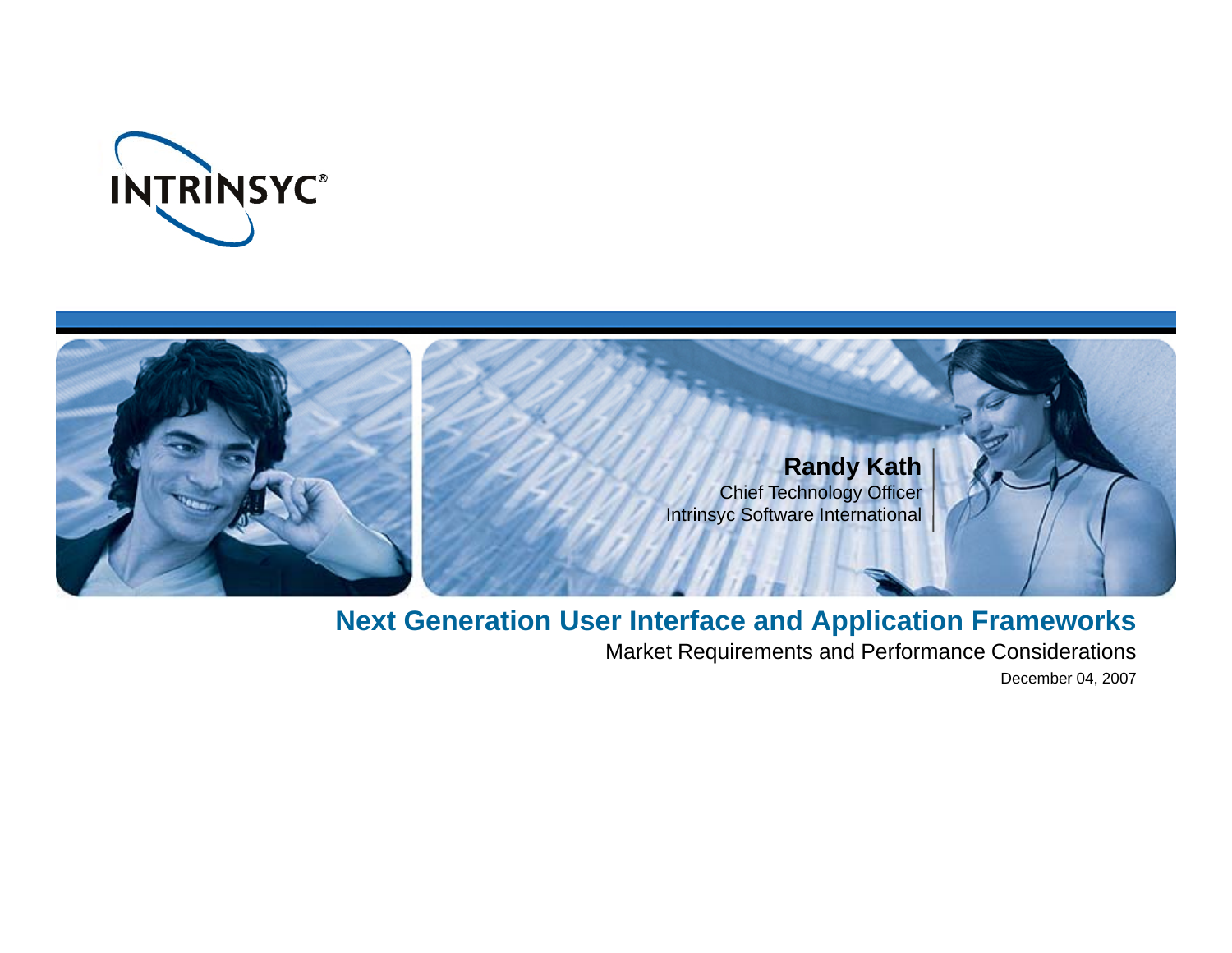



### **Next Generation User Interface and Application Frameworks**

Market Requirements and Performance Considerations

December 04, 2007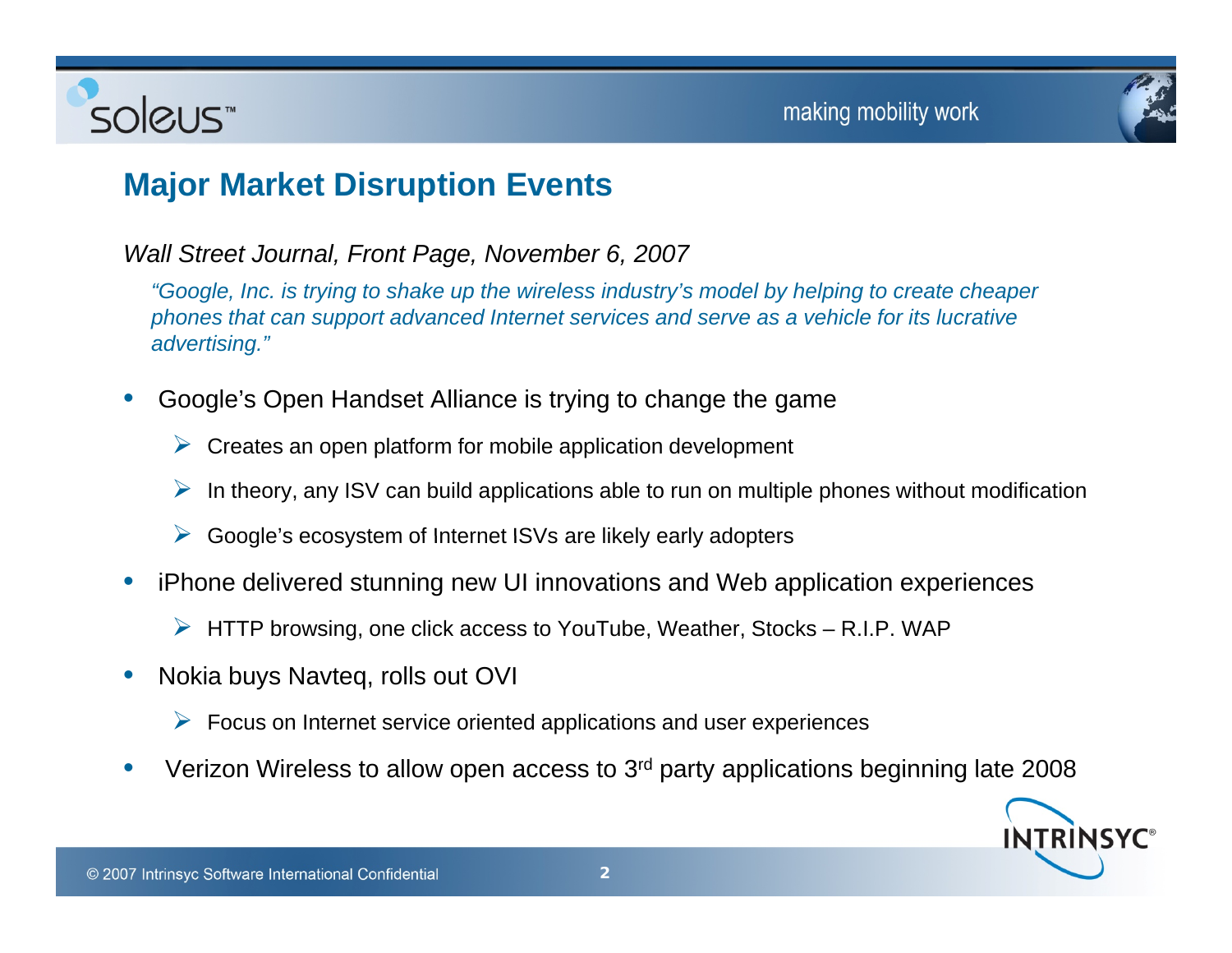

### **Major Market Disruption Events**

*Wall Street Journal, Front Page, November 6, 2007*

"Google, Inc. is trying to shake up the wireless industry's model by helping to create cheaper *phones that can support advanced Internet services and serve as a vehicle for its lucrative advertising."*

- • Google's Open Handset Alliance is trying to change the game
	- $\triangleright$  Creates an open platform for mobile application development
	- $\triangleright$  In theory, any ISV can build applications able to run on multiple phones without modification
	- ¾Google's ecosystem of Internet ISVs are likely early adopters
- • iPhone delivered stunning new UI innovations and Web application experiences
	- $\triangleright$  HTTP browsing, one click access to YouTube, Weather, Stocks R.I.P. WAP
- • Nokia buys Navteq, rolls out OVI
	- $\triangleright$  Focus on Internet service oriented applications and user experiences
- •• Verizon Wireless to allow open access to 3<sup>rd</sup> party applications beginning late 2008

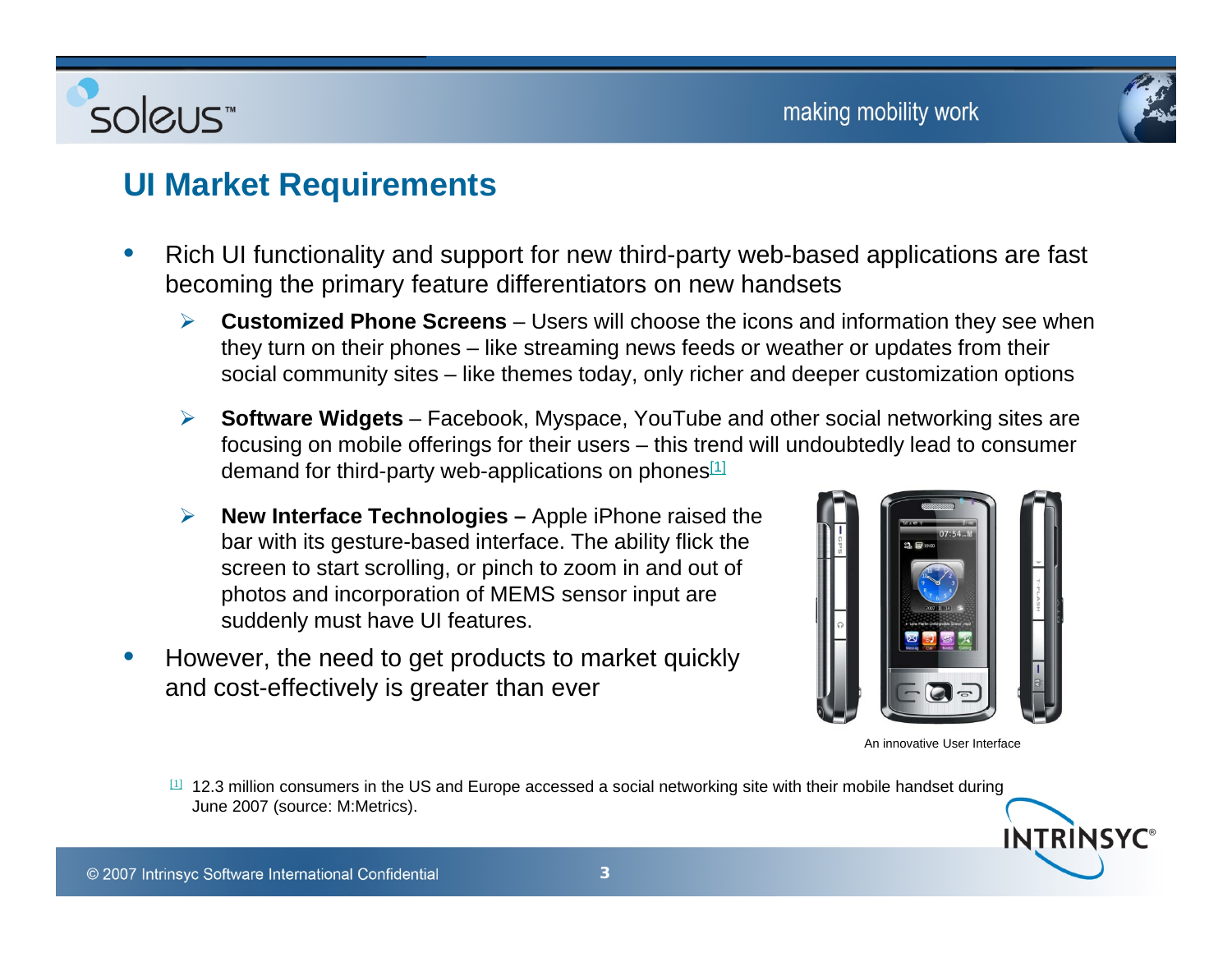

### **UI Market Requirements**

- $\bullet$  Rich UI functionality and support for new third-party web-based applications are fast becoming the primary feature differentiators on new handsets
	- ¾ **Customized Phone Screens** – Users will choose the icons and information they see when they turn on their phones – like streaming news feeds or weather or updates from their social community sites – like themes today, only richer and deeper customization options
	- **► Software Widgets** Facebook, Myspace, YouTube and other social networking sites are focusing on mobile offerings for their users – this trend will undoubtedly lead to consumer demand for third-party web-applications on phones<sup>[1]</sup>
	- ¾ **New Interface Technologies –** Apple iPhone raised the bar with its gesture-based interface. The ability flick the screen to start scrolling, or pinch to zoom in and out of photos and incorporation of MEMS sensor input are suddenly must have UI features.
- •However, the need to get products to market quickly and cost-effectively is greater than ever



An innovative User Interface

INTRINSYC

 $\mu$  12.3 million consumers in the US and Europe accessed a social networking site with their mobile handset during June 2007 (source: M:Metrics).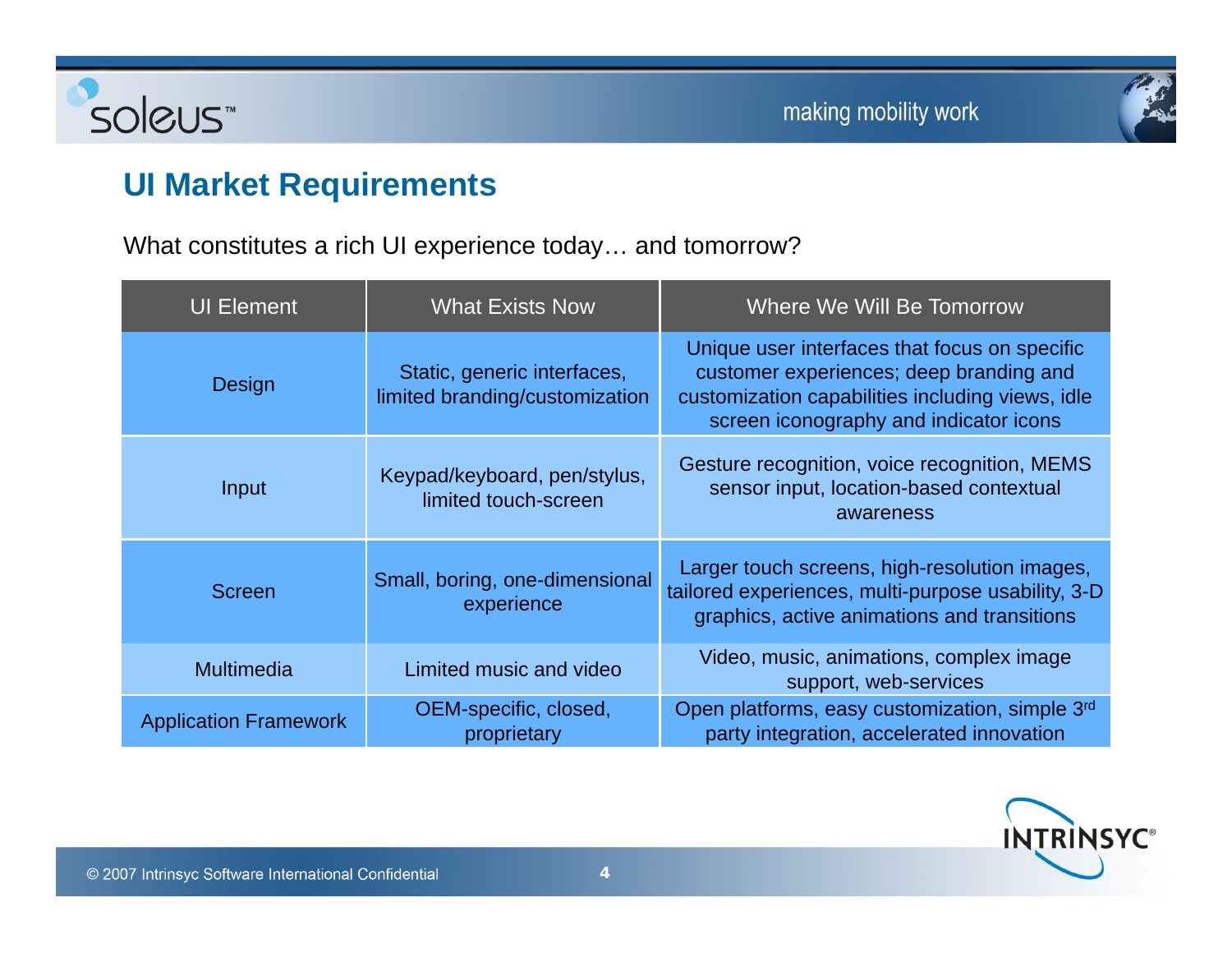



# **UI M k t R i t Market Requirements**

Soleus

What constitutes a rich UI experience today… and tomorrow?

| <b>UI Element</b>            | <b>What Exists Now</b>                                        | <b>Where We Will Be Tomorrow</b>                                                                                                                                                       |
|------------------------------|---------------------------------------------------------------|----------------------------------------------------------------------------------------------------------------------------------------------------------------------------------------|
| Design                       | Static, generic interfaces,<br>limited branding/customization | Unique user interfaces that focus on specific<br>customer experiences; deep branding and<br>customization capabilities including views, idle<br>screen iconography and indicator icons |
| Input                        | Keypad/keyboard, pen/stylus,<br>limited touch-screen          | Gesture recognition, voice recognition, MEMS<br>sensor input, location-based contextual<br>awareness                                                                                   |
| <b>Screen</b>                | Small, boring, one-dimensional<br>experience                  | Larger touch screens, high-resolution images,<br>tailored experiences, multi-purpose usability, 3-D<br>graphics, active animations and transitions                                     |
| Multimedia                   | Limited music and video                                       | Video, music, animations, complex image<br>support, web-services                                                                                                                       |
| <b>Application Framework</b> | OEM-specific, closed,<br>proprietary                          | Open platforms, easy customization, simple 3rd<br>party integration, accelerated innovation                                                                                            |

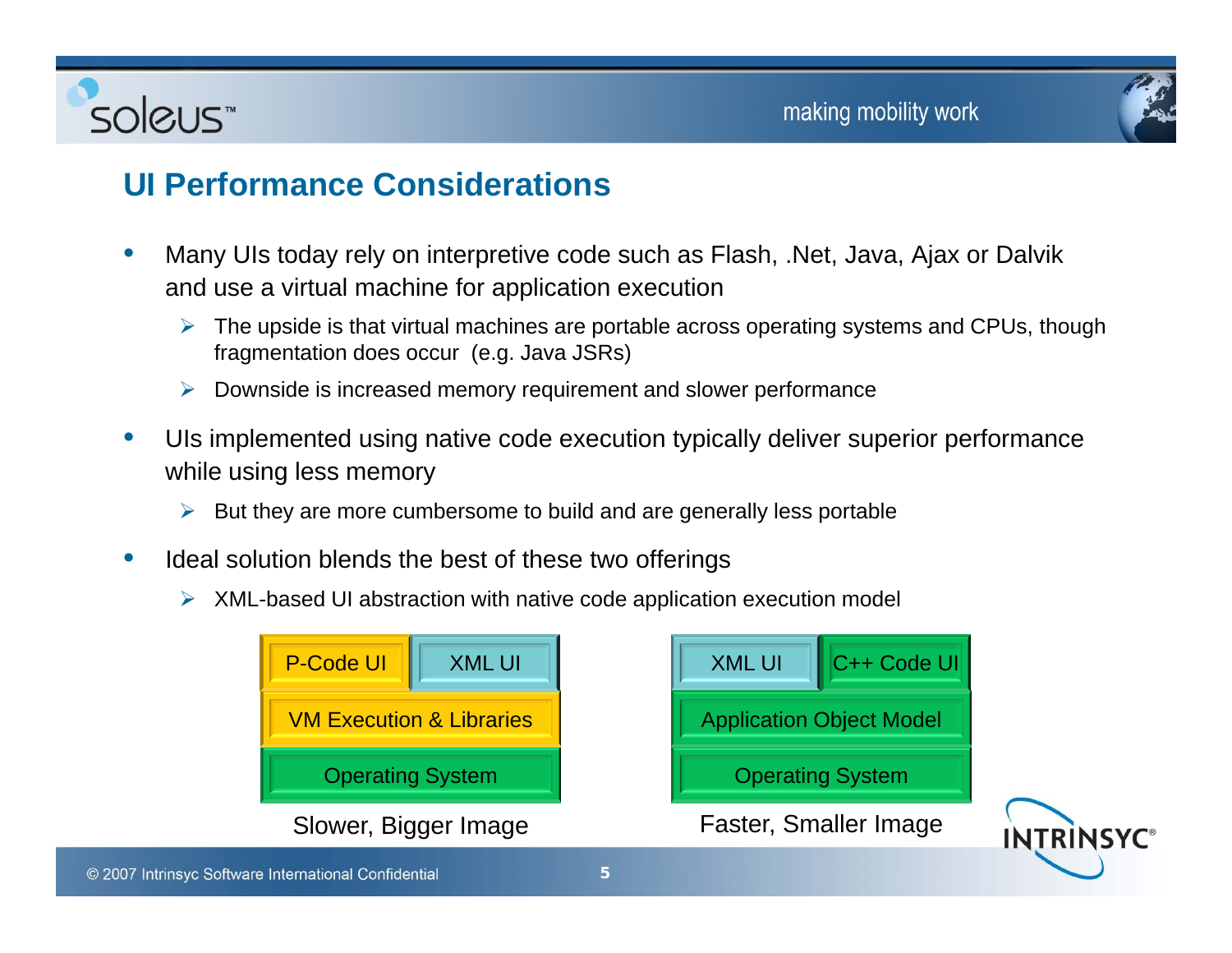



### **UI P f C id ti Performance Considerations**

- $\bullet$  Many UIs today rely on interpretive code such as Flash, .Net, Java, Ajax or Dalvik and use a virtual machine for application execution
	- ¾ The upside is that virtual machines are portable across operating systems and CPUs, though fragmentation does occur (e.g. Java JSRs)
	- ¾ Downside is increased memory requirement and slower performance
- •UIs implemented using native code execution typically deliver superior performance while using less memory
	- ¾But they are more cumbersome to build and are generally less portable
- • Ideal solution blends the best of these two offerings
	- ¾ XML-based UI abstraction with native code application execution model

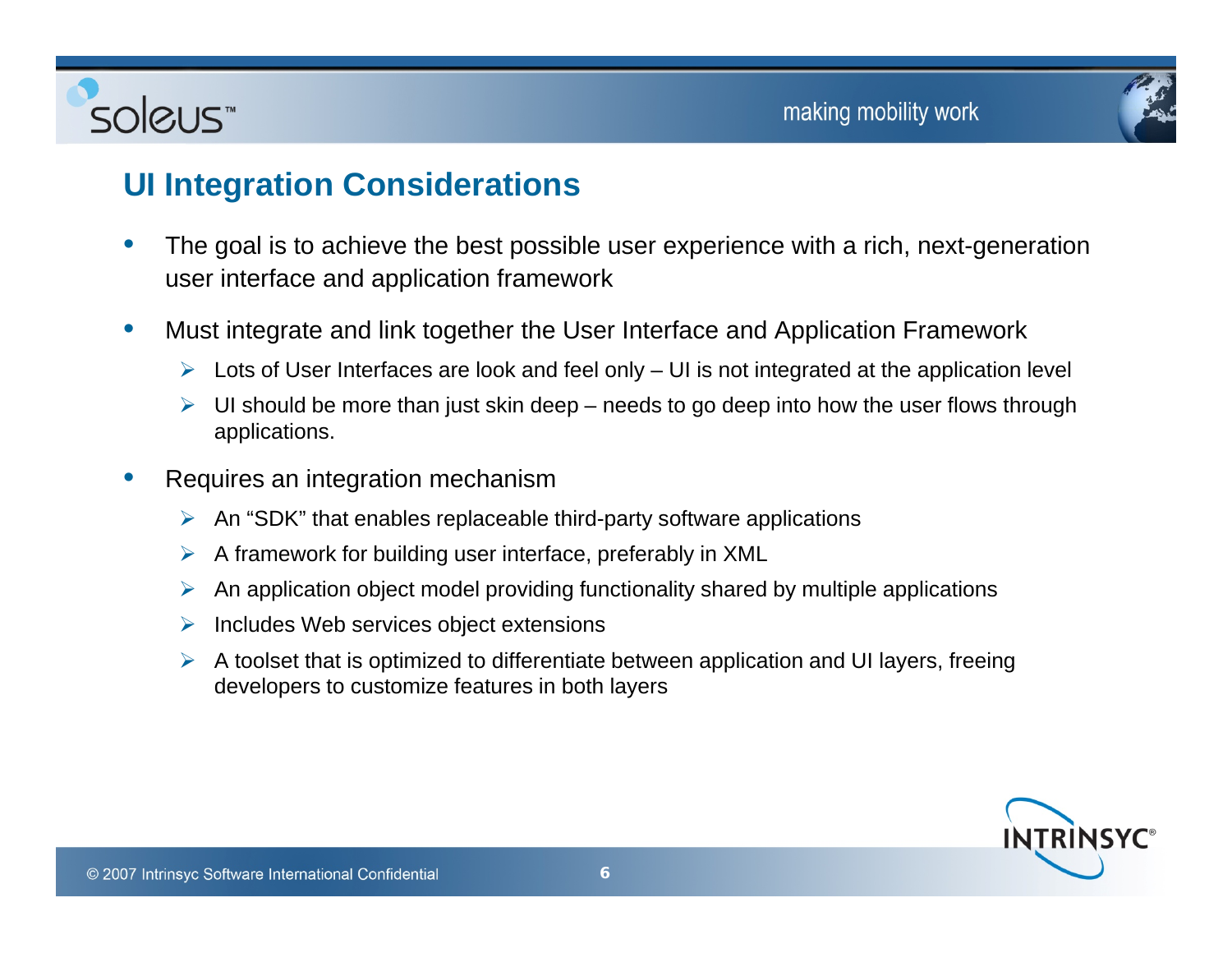



### **UI I t ti C id ti Integration Considerations**

- • The goal is to achieve the best possible user experience with a rich, next-generation user interface and application framework
- $\bullet$  Must integrate and link together the User Interface and Application Framework
	- $\triangleright$  Lots of User Interfaces are look and feel only  $-$  UI is not integrated at the application level
	- $\triangleright$  UI should be more than just skin deep needs to go deep into how the user flows through applications.
- • Requires an integration mechanism
	- ¾An "SDK" that enables replaceable third-party software applications
	- $\triangleright$  A framework for building user interface, preferably in XML
	- $\triangleright$  An application object model providing functionality shared by multiple applications
	- $\triangleright$  Includes Web services object extensions
	- $\triangleright$  A toolset that is optimized to differentiate between application and UI layers, freeing developers to customize features in both layers

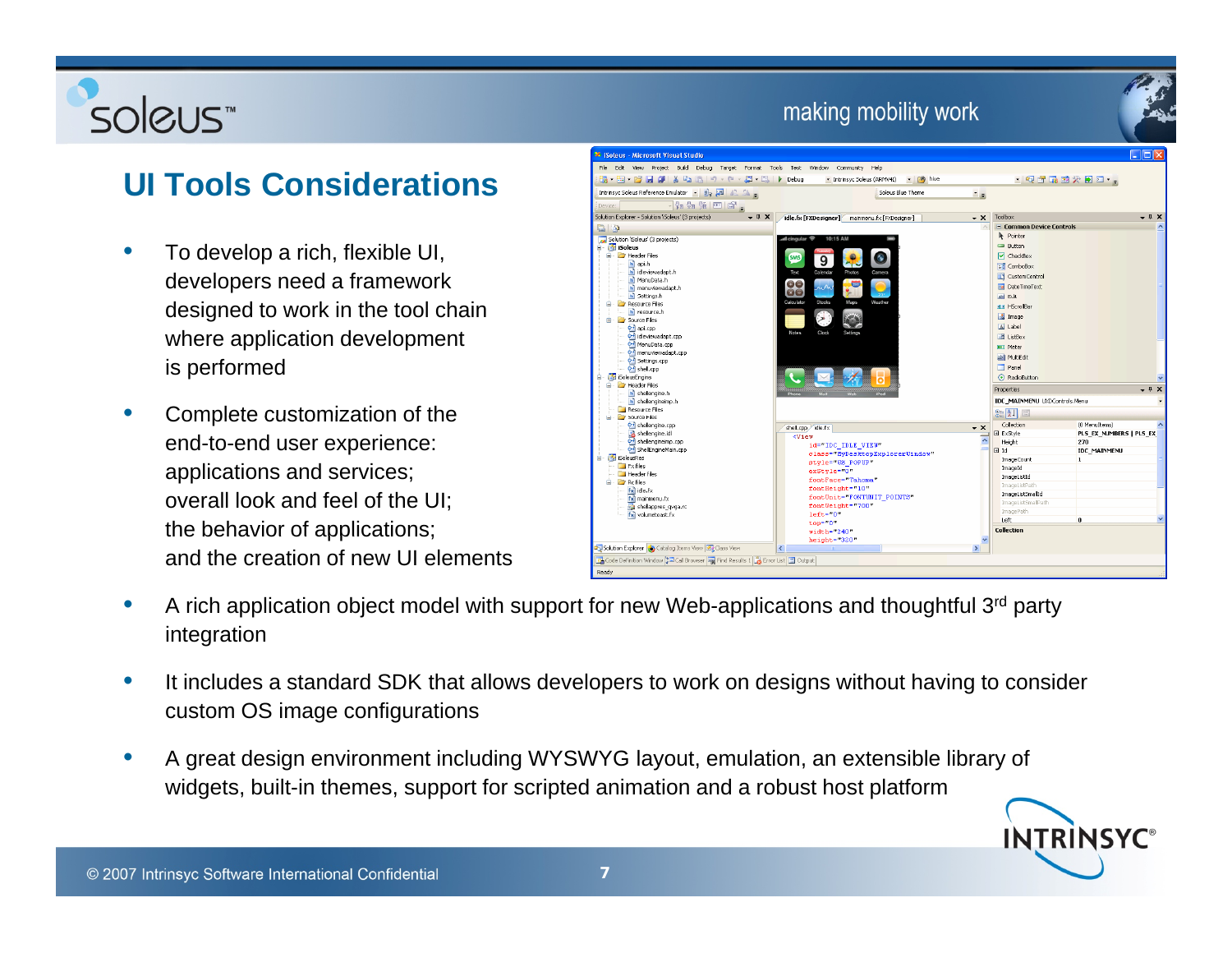# soleus<sup>"</sup>

# **UI T l C id ti Tools Considerations**

- $\bullet$  To develop a rich, flexible UI, developers need a framework designed to work in the tool chain where application development is performed
- • Complete customization of the end-to-end user experience: applications and services; overall look and feel of the UI; the behavior of applications; and the creation of new UI elements



- $\bullet$ A rich application object model with support for new Web-applications and thoughtful 3<sup>rd</sup> party integration
- • It includes a standard SDK that allows developers to work on designs without having to consider custom OS image configurations
- • A great design environment including WYSWYG layout, emulation, an extensible library of widgets, built-in themes, support for scripted animation and a robust host platform

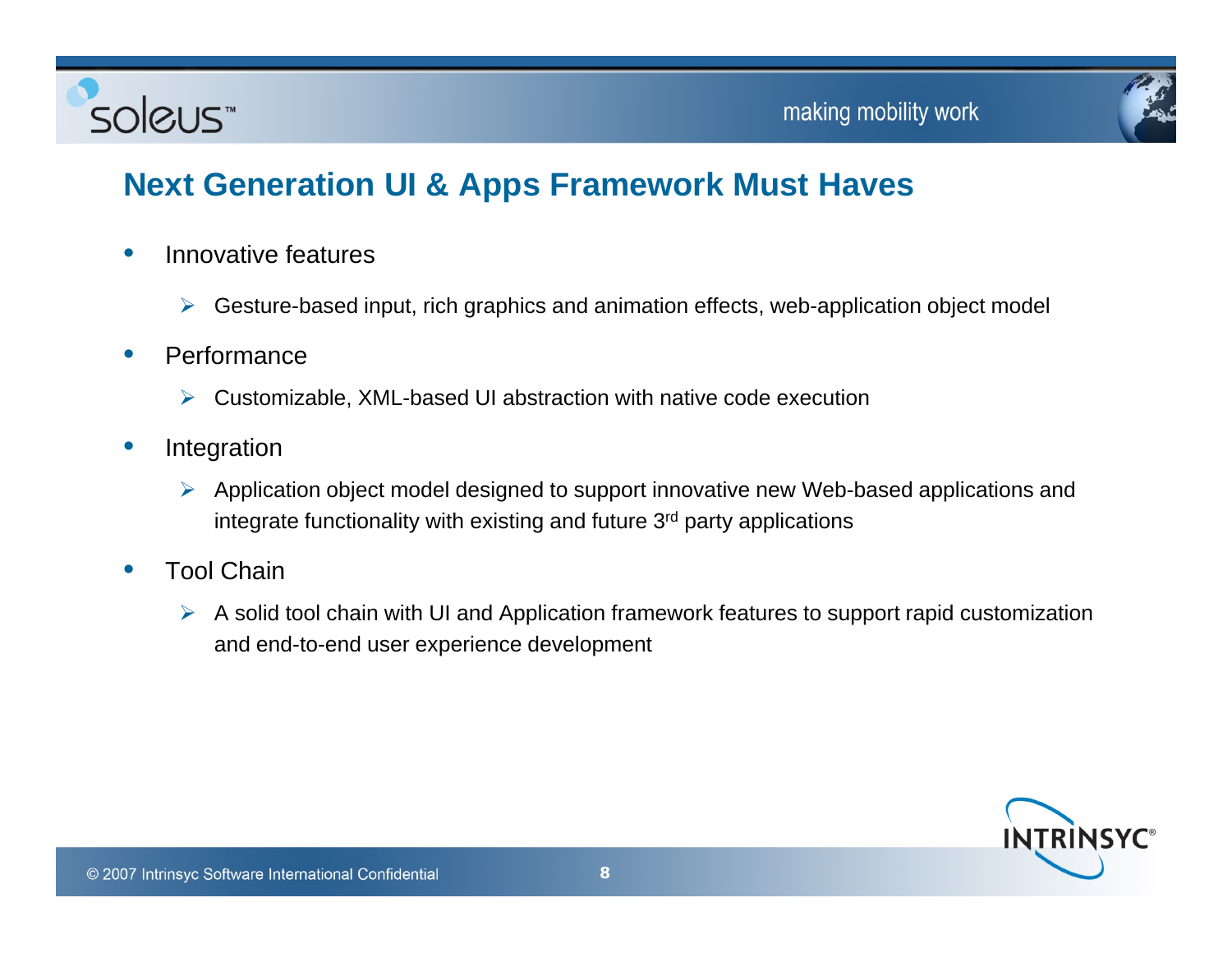



# Next Generation UI & Apps Framework Must Haves

- $\bullet$  Innovative features
	- $\blacktriangleright$ Gesture-based input, rich graphics and animation effects, web-application object model
- $\bullet$  Performance
	- $\triangleright$  Customizable, XML-based UI abstraction with native code execution
- • Integration
	- ¾ Application object model designed to support innovative new Web-based applications and integrate functionality with existing and future  $3<sup>rd</sup>$  party applications
- $\bullet$  Tool Chain
	- $\triangleright$  A solid tool chain with UI and Application framework features to support rapid customization and end-to-end user experience development